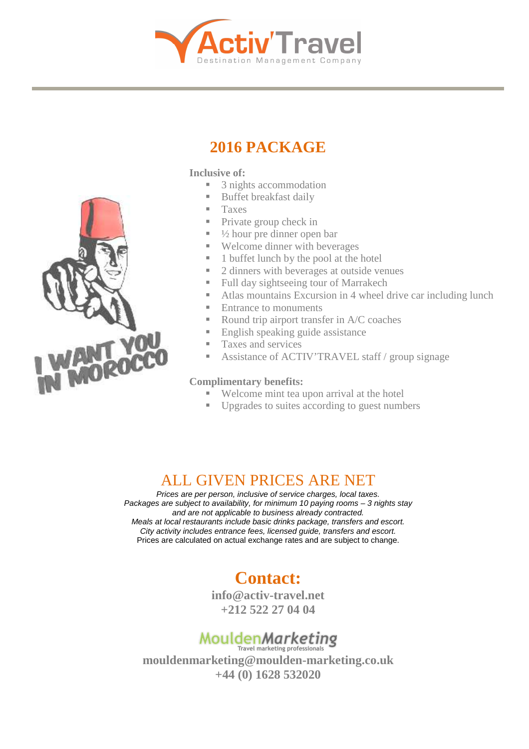

# **2016 PACKAGE**

#### **Inclusive of:**

- 3 nights accommodation
- Buffet breakfast daily
- $\blacksquare$  Taxes
- Private group check in
- $\blacksquare$   $\frac{1}{2}$  hour pre dinner open bar
- Welcome dinner with beverages
- $\blacksquare$  1 buffet lunch by the pool at the hotel
- 2 dinners with beverages at outside venues
- Full day sightseeing tour of Marrakech
- Atlas mountains Excursion in 4 wheel drive car including lunch
- Entrance to monuments
- Round trip airport transfer in A/C coaches
- English speaking guide assistance
- Taxes and services
- Assistance of ACTIV'TRAVEL staff / group signage

#### **Complimentary benefits:**

- Welcome mint tea upon arrival at the hotel
- Upgrades to suites according to guest numbers

## ALL GIVEN PRICES ARE NET

Prices are per person, inclusive of service charges, local taxes. Packages are subject to availability, for minimum 10 paying rooms - 3 nights stay and are not applicable to business already contracted. Meals at local restaurants include basic drinks package, transfers and escort. City activity includes entrance fees, licensed guide, transfers and escort. Prices are calculated on actual exchange rates and are subject to change.

## **Contact:**

**info@activ-travel.net +212 522 27 04 04** 

# Moulden Marketing

**mouldenmarketing@moulden-marketing.co.uk +44 (0) 1628 532020**